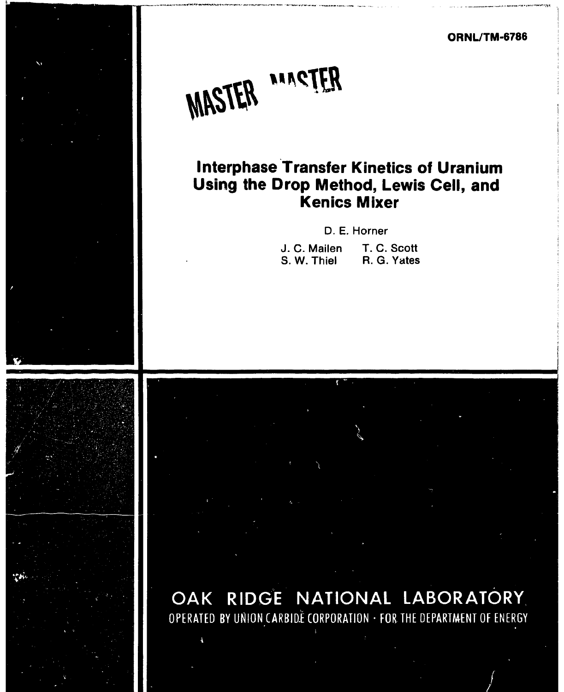**ORNL/TM-6786** 

/



# **Interphase Transfer Kinetics of Uranium Using the Drop Method, Lewis Cell, and Kenics Mixer**

D. E. Horner

| J. C. Mailen | T. C. Scott |
|--------------|-------------|
| S. W. Thiel  | R. G. Yates |



بتويد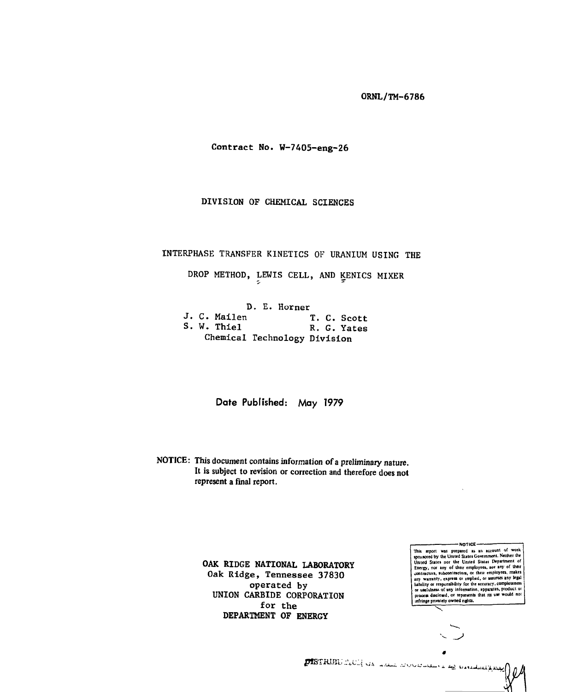**Contract No. W-7405-eng-26** 

**DIVISION OF CHEMICAL SCIENCES** 

# **INTERPHASE TRANSFER KINETICS OF URANIUM USING THE**

DROP METHOD, LEWIS CELL, AND KENICS MIXER

**D. E. Horner**<br>**J. C. Mailen J. C. Mailen T. C. Scott S. W. Thiel R. G. Yates Chemical Technology Division** 

**Date Published: May 1979** 

**NOTICE: This document contains information of a preliminary nature. It is subject to revision or correction and therefore does not represent a final report.** 

> **OAK RIDGE NATIONAL LABORATORY Oak Ridge, Tennessee 37830 operated by UNION CARBIDE CORPORATION for the DEPARTMENT OF ENERGY**

- NOTICE -This report was prepared as an account of work<br>sponsored by the United States Government. Neither the<br>United States not the United States Department of<br>*Viuited* State Energy, nor any of their employees, nor any of their<br>contractors, subcontractors, or their employees, makes any warranty, express or implied, or assumes any seguination<br>hability or responsibility for the accuracy, completeness<br>or usefulness of any information, apparatus, product or<br>process ducided, or represents that its use wou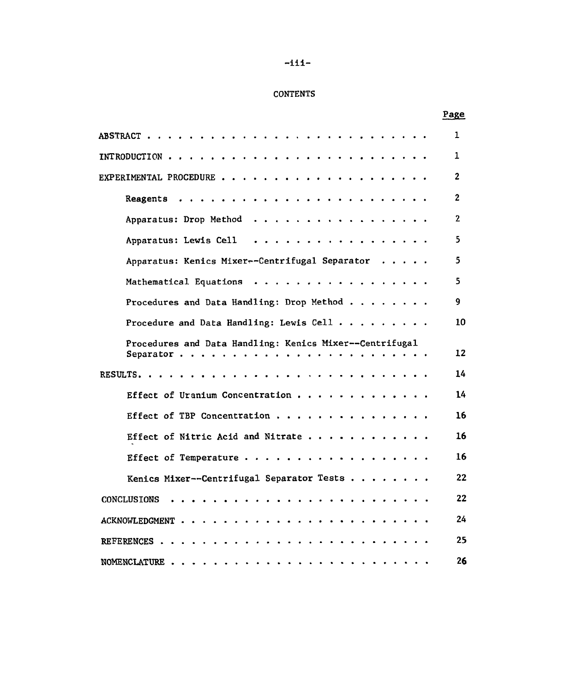# -iii-

# **CONTENTS**

# Page

| ABSTRACT                                                                                                                                                                                                                                                          | 1            |
|-------------------------------------------------------------------------------------------------------------------------------------------------------------------------------------------------------------------------------------------------------------------|--------------|
| INTRODUCTION.                                                                                                                                                                                                                                                     | 1            |
| EXPERIMENTAL PROCEDURE<br>$\bullet$ . $\bullet$ . The set of the set of the set of the set of the set of the set of the set of the set of the set of the set of the set of the set of the set of the set of the set of the set of the set of the set of the set o | 2            |
| Reagents<br>$\ddot{\phantom{1}}$<br>$\bullet$<br>$\bullet$<br>$\bullet$                                                                                                                                                                                           | $\mathbf{2}$ |
| Apparatus: Drop Method<br>.                                                                                                                                                                                                                                       | $\mathbf{2}$ |
| Apparatus: Lewis Cell<br>$\bullet$ . The set of $\bullet$<br>$\sim$                                                                                                                                                                                               | 5            |
| Apparatus: Kenics Mixer--Centrifugal Separator                                                                                                                                                                                                                    | 5            |
| Mathematical Equations                                                                                                                                                                                                                                            | 5            |
| Procedures and Data Handling: Drop Method                                                                                                                                                                                                                         | 9            |
| Procedure and Data Handling: Lewis Cell                                                                                                                                                                                                                           | 10           |
| Procedures and Data Handling: Kenics Mixer--Centrifugal<br>Separator                                                                                                                                                                                              | 12           |
| RESULTS                                                                                                                                                                                                                                                           | 14           |
| Effect of Uranium Concentration                                                                                                                                                                                                                                   | 14           |
| Effect of TBP Concentration                                                                                                                                                                                                                                       | 16           |
| Effect of Nitric Acid and Nitrate                                                                                                                                                                                                                                 | 16           |
| Effect of Temperature                                                                                                                                                                                                                                             | 16           |
| Kenics Mixer--Centrifugal Separator Tests                                                                                                                                                                                                                         | 22           |
| CONCLUSIONS                                                                                                                                                                                                                                                       | 22           |
| ACKNOWLEDGMENT .<br>$\mathbf{r}$<br>$\mathbf{r}$ $\mathbf{r}$ $\mathbf{r}$<br>$\sim$<br><b>Carlos</b><br>$\bullet$                                                                                                                                                | 24           |
| REFERENCES.                                                                                                                                                                                                                                                       | 25           |
| NOMENCLATURE                                                                                                                                                                                                                                                      | 26           |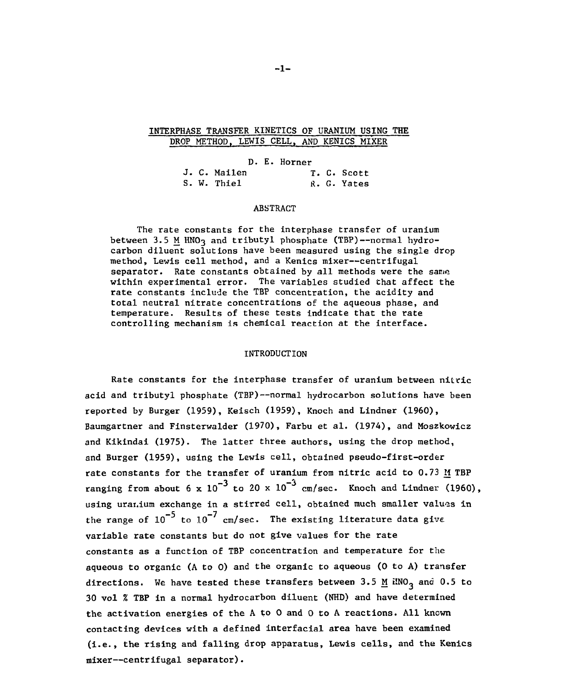## **INTERPHASE TRANSFER KINETICS OF URANIUM USING THE DROP METHOD, LEWIS CELL, AND KENICS MIXER**

**D. E. Horner**  J. C. Mailen T. C. Scott S. W. Thiel R. G. Yates

#### **ABSTRACT**

**The rate constants for the interphase transfer of uranium**  between 3.5 M HNO<sub>3</sub> and tributyl phosphate (TBP)--normal hydro**carbon diluent solutions have been measured using the single drop method, Lewis cell method, and a Kenics mixer—centrifugal separator. Rate constants obtained by all methods were the same within experimental error. The variables studied that affect the rate constants include the TBP concentration, the acidity and total neutral nitrate concentrations of the aqueous phase, and temperature. Results of these tests indicate that the rate controlling mechanism is chemical reaction at the interface.** 

#### **INTRODUCTION**

**Rate constants for the interphase transfer of uranium between nitric acid and tributyl phosphate (TBP)—normal hydrocarbon solutions have been reported by Burger (1959), Keisch (1959), Knoch and Lindner (1960), Baumgartner and Finsterwalder (1970), Farbu et al. (1974), and Moszkowicz and Kikindai (1975). The latter three authors, using the drop method, and Burger (1959), using the Lewis cell, obtained pseudo-first-order rate constants for the transfer of uranium from nitric acid to 0.73 M TBP**  ranging from about 6 x  $10^{-3}$  to 20 x  $10^{-3}$  cm/sec. Knoch and Lindner (1960), using uranium exchange in a stirred cell, obtained much smaller values in the range of  $10^{-5}$  to  $10^{-7}$  cm/sec. The existing literature data give variable rate constants but do not give values for the rate constants as a function of TBP concentration and temperature for the aqueous to organic (A to 0) and the organic to aqueous (0 to A) transfer directions. We have tested these transfers between 3.5 M ilNO<sub>3</sub> and 0.5 to **30 vol % TBP in a normal hydrocarbon diluent (NHD) and have determined** the activation energies of the A to O and O to A reactions. All known contacting devices with a defined interfacial area have been examined (i.e., the rising and falling drop apparatus, Lewis cells, and the Kenics mixer--centrifugal separator).

**mixer—centrifugal separator).**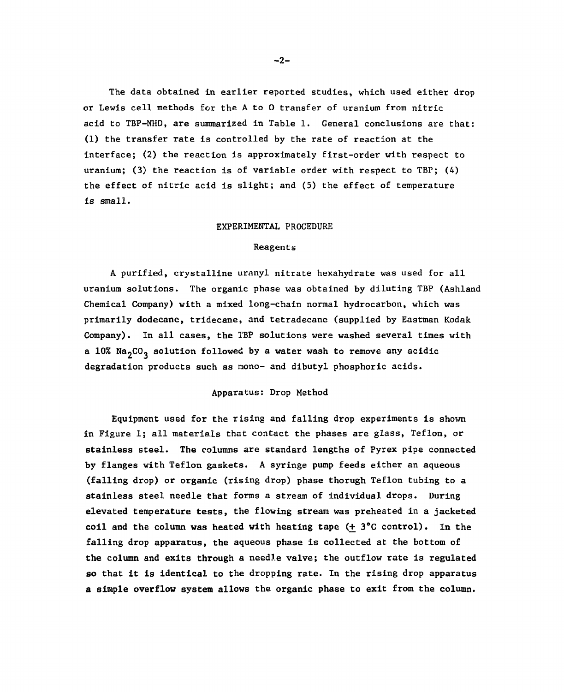**The data obtained in earlier reported studies, which used either drop or Lewis cell methods for the A to 0 transfer of uranium from nitric acid to TBP-NHD, are summarized in Table 1. General conclusions are that: (1) the transfer rate is controlled by the rate of reaction at the interface; (2) the reaction is approximately first-order with respect to uranium; (3) the reaction is of variable order with respect to TBP; (4) the effect of nitric acid is slight; and (5) the effect of temperature is small.** 

#### **EXPERIMENTAL PROCEDURE**

### **Reagents**

**A purified, crystalline urnnyl nitrate hexahydrate was used for all uranium solutions. The organic phase was obtained by diluting TBP (Ashland Chemical Company) with a mixed long-chain normal hydrocarbon, which was primarily dodecane, tridecane, and tetradecane (supplied by Eastman Kodak Company). In all cases, the TBP solutions were washed several times with a 10% Na2C03 solution followed by a water wash to remove any acidic degradation products such as mono- and dibutyl phosphoric acids.** 

#### **Apparatus: Drop Method**

**Equipment used for the rising and falling drop experiments is shown in Figure 1; all materials that contact the phases are glass, Teflon, or stainless steel. The columns are standard lengths of Pyrex pipe connected by flanges with Teflon gaskets. A syringe pump feeds either an aqueous (falling drop) or organic (rising drop) phase thorugh Teflon tubing to a stainless steel needle that forms a stream of individual drops. During elevated temperature tests, the flowing stream was preheated in a jacketed coil and the column was heated with heating tape (+ 3°C control). In the falling drop apparatus, the aqueous phase is collected at the bottom of the column and exits through a needle valve; the outflow rate is regulated so that it is identical to the dropping rate. In the rising drop apparatus a simple overflow system allows the organic phase to exit from the column.**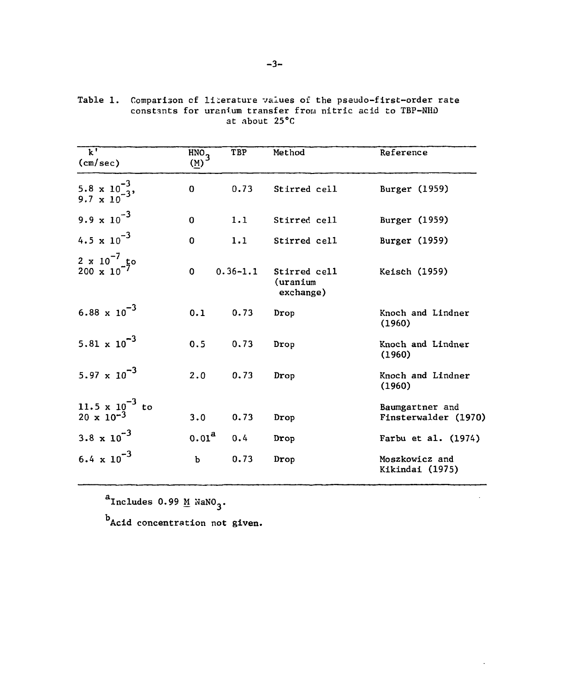| $\overline{k}$ '<br>(cm/sec)                     | HNO <sub>3</sub><br>$(\underline{M})$ | TBP          | Method                                | Reference                               |
|--------------------------------------------------|---------------------------------------|--------------|---------------------------------------|-----------------------------------------|
| 5.8 x $10^{-3}$ ,<br>9.7 x $10^{-3}$ ,           | $\bf{0}$                              | 0.73         | Stirred cell                          | Burger (1959)                           |
| 9.9 $\times 10^{-3}$                             | $\mathbf 0$                           | 1.1          | Stirred cell                          | Burger (1959)                           |
| 4.5 $\times 10^{-3}$                             | 0                                     | 1.1          | Stirred cell                          | Burger (1959)                           |
| $\frac{2 \times 10^{-7}}{200 \times 10^{-7}}$ to | 0                                     | $0.36 - 1.1$ | Stirred cell<br>(uranium<br>exchange) | Keisch (1959)                           |
| 6.88 $\times 10^{-3}$                            | 0.1                                   | 0.73         | Drop                                  | Knoch and Lindner<br>(1960)             |
| 5.81 $\times$ 10 <sup>-3</sup>                   | 0.5                                   | 0.73         | Drop                                  | Knoch and Lindner<br>(1960)             |
| 5.97 $\times 10^{-3}$                            | 2.0                                   | 0.73         | Drop                                  | Knoch and Lindner<br>(1960)             |
| 11.5 x $10^{-3}$ to<br>20 x $10^{-3}$            | 3.0                                   | 0.73         | Drop                                  | Baumgartner and<br>Finsterwalder (1970) |
| 3.8 $\times 10^{-3}$                             | 0.01 <sup>a</sup>                     | 0.4          | Drop                                  | Farbu et al. (1974)                     |
| 6.4 $\times 10^{-3}$                             | $\mathbf b$                           | 0.73         | Drop                                  | Moszkowicz and<br>Kikindai (1975)       |

 $\Box$ 

**Table 1. Comparison cf literature values of the pseudo-first-order rate constants for uranium transfer frora nitric acid to TBP-NHQ at about 25°C** 

 $a_{\text{Includes}}$  0.99  $\underline{\text{M}}$  NaNO<sub>3</sub>.

**Acid concentration not given.**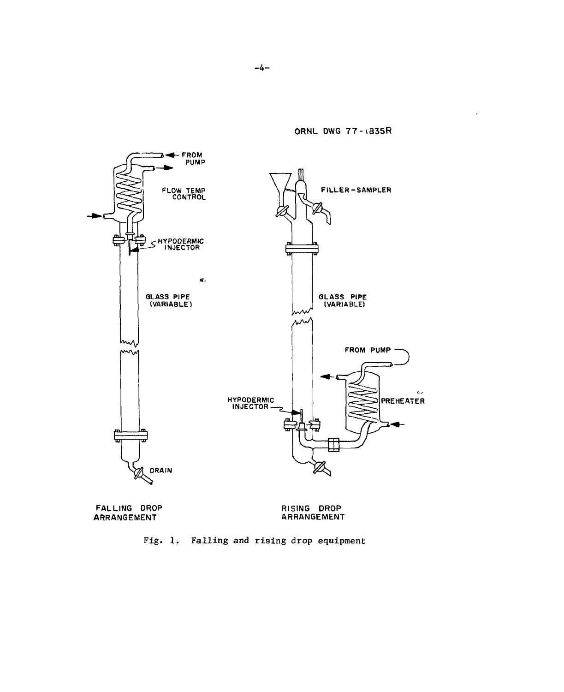

**ORNL DWG 77 - t335 R** 

**FALLING DROP ARRANGEMENT** 

**RISING DROP ARRANGEMENT** 

**Fig . 1 . Fallin g and risin g dro p equipmen t**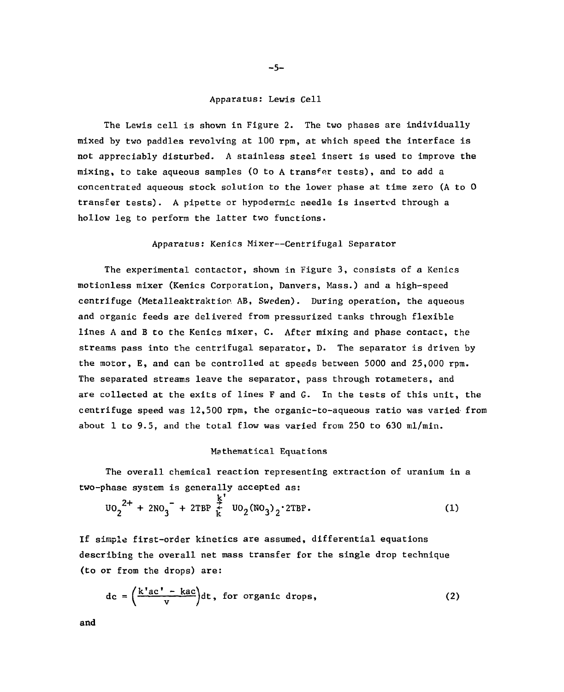### **Apparatus: Lewis Cell**

**The Lewis cell is shown in Figure 2. The two phases are individually mixed by two paddles revolving at 100 rpm, at which speed the interface is not appreciably disturbed. A stainless steel insert is used to improve the mixing, to take aqueous samples (0 to A trans<sup>f</sup>er tests), and to add a concentrated aqueous stock solution to the lower phase at time zero (A to 0 transfer tests). A pipette or hypodermic needle is inserted through a hollow leg to perform the latter two functions.** 

#### **Apparatus: Kenics Mixer—Centrifugal Separator**

**The experimental contactor, shown in Figure 3, consists of a Kenics motionless mixer (Kenics Corporation, Danvers, Mass.) and a high-speed centrifuge (Metalleaktraktion AB, Sweden). During operation, the aqueous and organic feeds are delivered from pressurized tanks through flexible lines A and B to the Kenics mixer, C. After mixing and phase contact, the streams pass into the centrifugal separator, D. The separator is driven by the motor, E, and can be controlled at speeds between 5000 and 25,000 rpm. The separated streams leave the separator, pass through rotameters, and are collected at the exits of lines F and G. In the tests of this unit, the centrifuge speed was 12,500 rpm, the organic-to-aqueous ratio was varied from about 1 to 9.5, and the total flow was varied from 250 to 630 ml/min.** 

## **Mathematical Equations**

**The overall chemical reaction representing extraction of uranium in a two-phase system is generally accepted as:** 

$$
U0_2^{2+} + 2NO_3^- + 2TBP \stackrel{k'}{t} U0_2 (NO_3)_2 \cdot 2TBP.
$$
 (1)

**If simple first-order kinetics are assumed, differential equations describing the overall net mass transfer for the single drop technique (to or from the drops) are:** 

$$
dc = \left(\frac{k'ac' - kac}{v}\right)dt, for organic drops,
$$
 (2)

**and**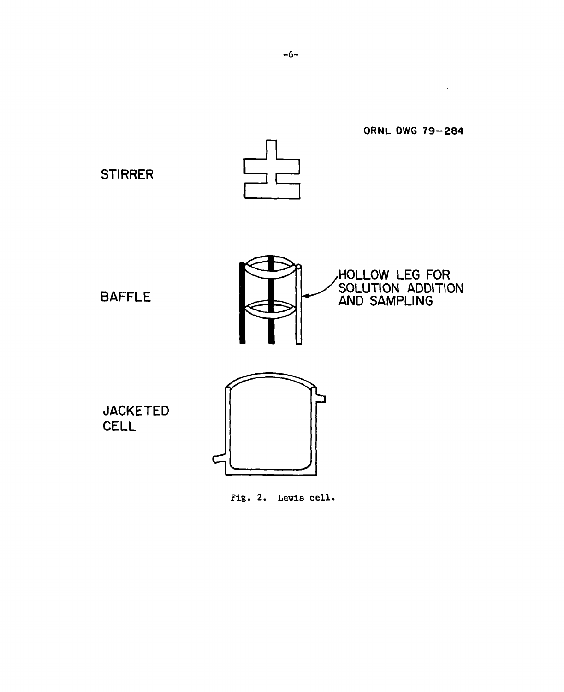

Fig. 2. Lewis cell.

 $\mathcal{L}^{\mathcal{L}}(\mathcal{L}^{\mathcal{L}}(\mathcal{L}^{\mathcal{L}}(\mathcal{L}^{\mathcal{L}})))$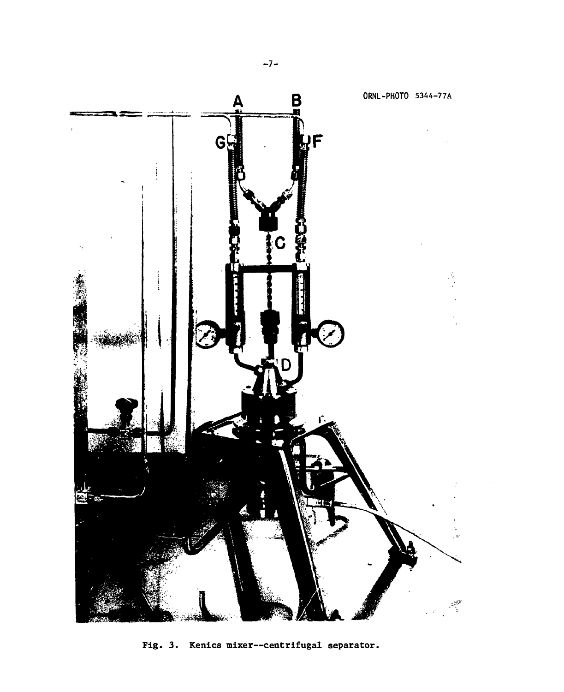

Fig. 3. Kenics mixer—centrifugal separator.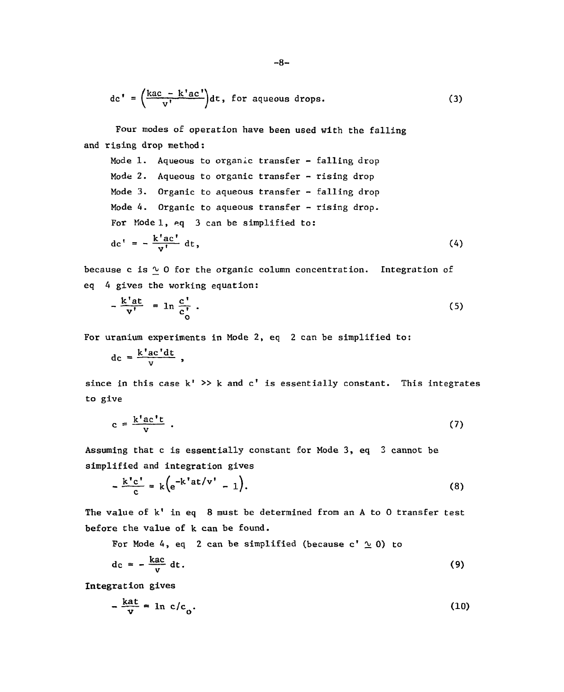$$
dc' = \left(\frac{kac - k'ac'}{v'}\right)dt
$$
, for aqueous drops. (3)

**Four modes of operation have been used with the falling and rising drop method:** 

**Mode 1. Aqueous to organic transfer - falling drop Mode 2. Aqueous to organic transfer - rising drop Mode 3. Organic to aqueous transfer - falling drop Mode 4. Organic to aqueous transfer - rising drop. For Model, eq 3 can be simplified to:**   $\mathrm{dc}^{\dagger} = -\frac{k'\mathrm{ac}^{\dagger}}{v!} \mathrm{dt},\tag{4}$ 

**because c is ^ 0 for the organic column concentration. Integration of eq 4 gives the working equation:** 

$$
-\frac{k^{\prime}at}{v^{\prime}} = \ln \frac{c^{\prime}}{c_0^{\prime}} \ . \tag{5}
$$

**For uranium experiments in Mode 2, eq 2 can be simplified to:** 

$$
dc = \frac{k'ac'dt}{v},
$$

since in this case k' >> k and c' is essentially constant. This integrates **to give** 

$$
c = \frac{k'ac't}{v} \tag{7}
$$

<span id="page-10-0"></span>**Assuming that c is essentially constant for Mode 3, eq 3 cannot be simplified and integration gives** 

$$
-\frac{k'c'}{c} = k\left(e^{-k'at/v'}-1\right). \tag{8}
$$

**The value of k' in eq 8 must be determined from an A to 0 transfer test before the value of k can be found.** 

For Mode 4, eq 2 can be simplified (because  $c' \simeq 0$ ) to

$$
dc = -\frac{kac}{v} dt. \tag{9}
$$

**Integration gives** 

$$
-\frac{\text{kat}}{\text{v}} = \ln \text{c/c}_0. \tag{10}
$$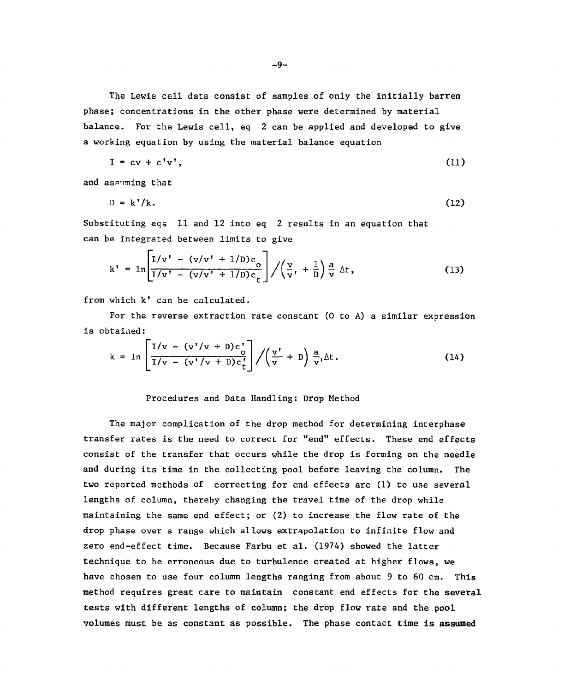**The Lewis cell data consist of samples of only the initially barren phase; concentrations in the other phase were determined by material balance. For the Lewis cell, eq 2 can be applied and developed to give a working equation by using the material balance equation** 

$$
I = cv + c'v', \qquad (11)
$$

**and assuming that** 

$$
D = k'/k. \tag{12}
$$

**Substituting eqs 11 and 12 into eq 2 results in an equation that can be integrated between limits to give** 

$$
k' = \ln \left[ \frac{I/v' - (v/v' + 1/D)c_0}{I/v' - (v/v' + 1/D)c_t} \right] / \left( \frac{v}{v'} + \frac{1}{D} \right) \frac{a}{v} \Delta t,
$$
 (13)

**from which k' dan be calculated.** 

**For the reverse extraction rate constant (0 to A) a similar expression is obtaiaed:** 

$$
k = \ln \left[ \frac{I/v - (v'/v + D)c_0'}{I/v - (v'/v + D)c_t'} \right] / \left( \frac{v'}{v} + D \right) \frac{a}{v} \Delta t.
$$
 (14)

#### **Procedures and Data Handling: Drop Method**

**The major complication of the drop method for determining interphase transfer rates is the need to correct for "end" effects. These end effects consist of the transfer that occurs while the drop is forming on the needle and during its time in the collecting pool before leaving the column. The two reported methods of correcting for end effects are (1) to use several lengths of column, thereby changing the travel time of the drop while maintaining the same end effect; or (2) to increase the flow rate of the drop phase over a range which allows extrapolation to infinite flow and zero end-effect time. Because Farbu et al. (1974) showed the latter technique to be erroneous due to turbulence created at higher flows, we have chosen to use four column lengths ranging from about 9 to 60 cm. This method requires great care to maintain constant end effects for the several tests with different lengths of column; the drop flow rate and the pool volumes must be as constant as possible. The phase contact time is assumed**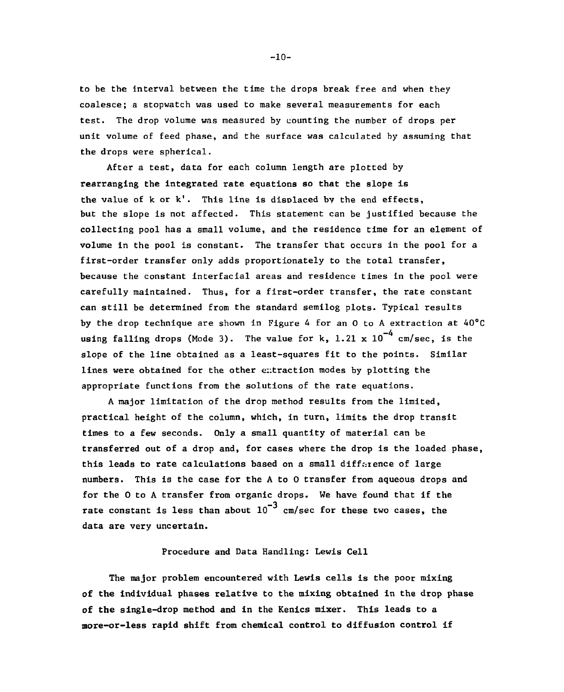**to be the interval between the time the drops break free and when they coalesce; a stopwatch was used to make several measurements for each test. The drop volume was measured by counting the number of drops per unit volume of feed phase, and the surface was calculated by assuming that the drops were spherical.** 

**After a test, data for each column length are plotted by rearranging the integrated rate equations so that the slope is the value of k or k'. This line is displaced by the end effects, but the slope is not affected. This statement can be justified because the collecting pool has a small volume, and the residence time for an element of volume in the pool is constant. The transfer that occurs in the pool for a first-order transfer only adds proportionately to the total transfer, because the constant interfacial areas and residence times in the pool were carefully maintained. Thus, for a first-order transfer, the rate constant can still be determined from the standard semilog plots. Typical results by the drop technique are shown in Figure 4 for an 0 to A extraction at 40°C**  using falling drops (Mode 3). The value for k,  $1.21 \times 10^{-4}$  cm/sec. is the slope of the line obtained as a least-squares fit to the points. Similar lines were obtained for the other extraction modes by plotting the appropriate functions from the solutions of the rate equations.

A major limitation of the drop method results from the limited. practical height of the column, which, in turn, limits the drop transit times to a few seconds. Only a small quantity of material can be transferred out of a drop and, for cases where the drop is the loaded phase, this leads to rate calculations based on a small difference of large numbers. This is the case for the A to O transfer from aqueous drops and for the 0 to A transfer from organic drops. We have found that if the **for the 0 to A transfer from organic drops. We have found that if the rate constant is less than about 10 cm/sec for these two cases, the data are very uncertain.** 

#### **Procedure and Data Handling: Lewis Cell**

**The major problem encountered with Lewis cells is the poor mixing of the individual phases relative to the mixing obtained in the drop phase of the single-drop method and in the Kenics mixer. This leads to a more-or-less rapid shift from chemical control to diffusion control if** 

**-10 -**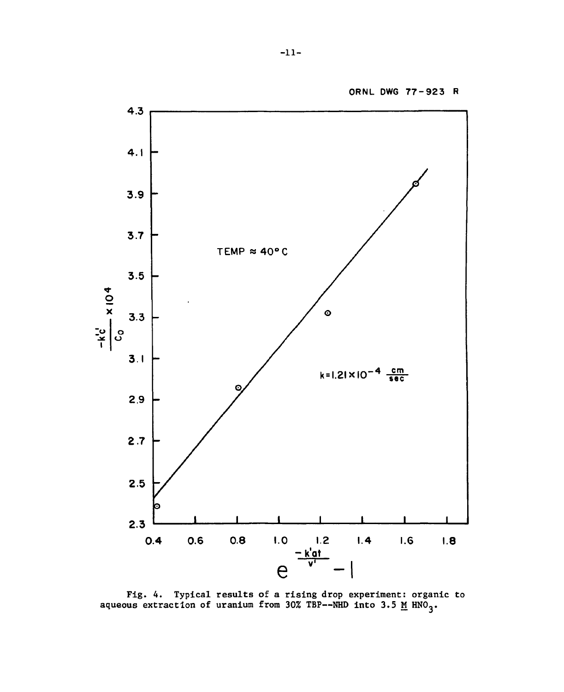

Fig. 4. Typical results of a rising drop experiment: organic to aqueous extraction of uranium from 30% TBP--NHD into 3.5 <u>M</u>  $HNO<sub>2</sub>$ .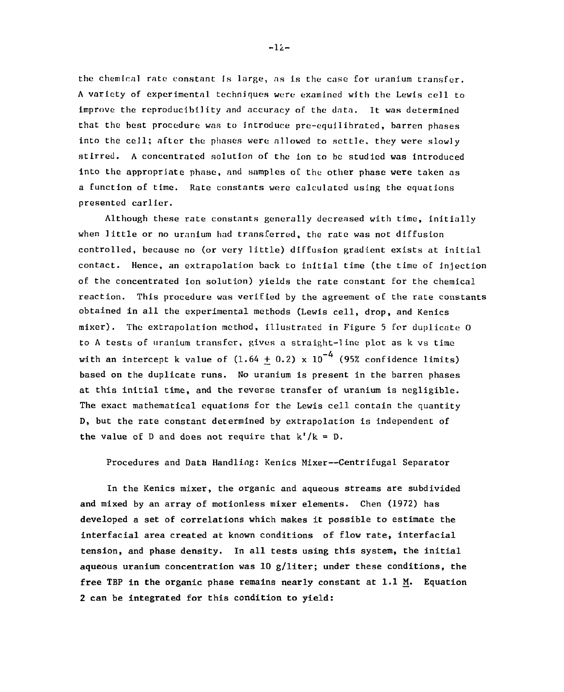**the chemical rate constant is large, as is the case for uranium transfer. A variety of experimental techniques were examined with the Lewis cell to improve the reproducibility and accuracy of the data. It was determined that the best procedure was to introduce pre-equilibrated, barren phases into the cell; after the phases were allowed to settle, they were slowly stirred. A concentrated solution of the ion to be studied was introduced into the appropriate phase, and samples of the other phase were taken as a function of time. Rate constants were calculated using the equations presented earlier.** 

**Although these rate constants generally decreased with time, initially when little or no uranium had transferred, the rate was not diffusion controlled, because no (or very little) diffusion gradient exists at initial contact. Hence, an extrapolation back to initial time (the time of injection of the concentrated ion solution) yields the rate constant for the chemical reaction. This procedure was verified by the agreement of the rate constants obtained in all the experimental methods (Lewis cell, drop, and Kenics mixer). The extrapolation method, illustrated in Figure 5 for duplicate 0 to A tests of uranium transfer, gives a straight-line plot as k vs time**  with an intercept k value of  $(1.64 + 0.2) \times 10^{-4}$  (95% confidence limits) **based on the duplicate runs. No uranium is present in the barren phases at this initial time, and the reverse transfer of uranium is negligible. The exact mathematical equations for the Lewis cell contain the quantity D, but the rate constant determined by extrapolation is independent of**  the value of D and does not require that  $k'/k = D$ .

**Procedures and Data Handling: Kenics Mixer—Centrifugal Separator** 

**In the Kenics mixer, the organic and aqueous streams are subdivided and mixed by an array of motionless mixer elements. Chen (1972) has developed a set of correlations which makes it possible to estimate the interfacial area created at known conditions of flow rate, interfacial tension, and phase density. In all tests using this system, the initial aqueous uranium concentration was 10 g/liter; under these conditions, the free TBP in the organic phase remains nearly constant at 1.1 M. Equation 2 can be integrated for this condition to yield:** 

**-li -**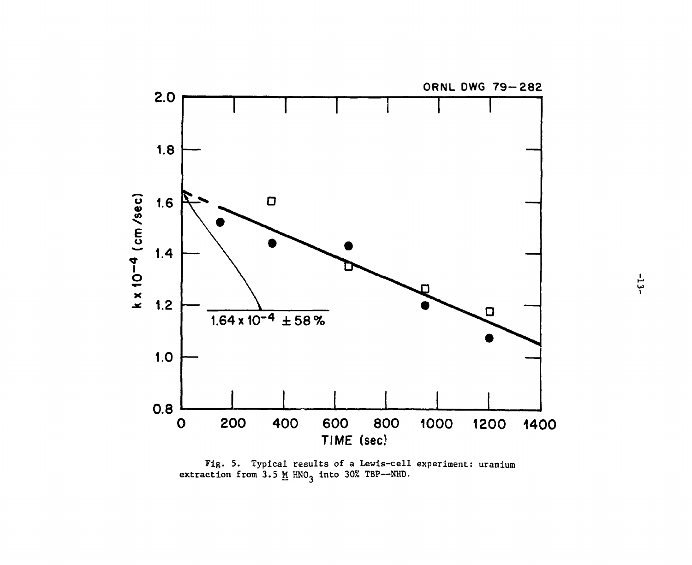

**Fig. 5. Typical results of a Lewis-cell experiment: uranium**  extraction from  $3.5$  M HNO<sub>3</sub> into 30% TBP--NHD.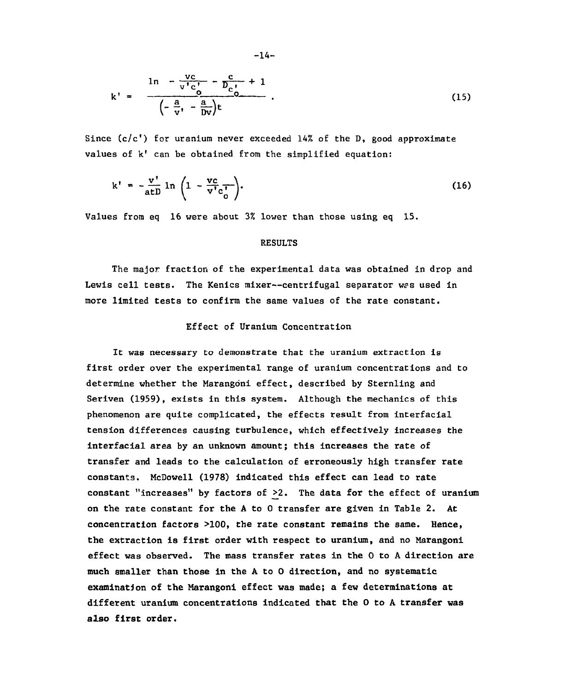$$
k' = \frac{1n - \frac{vc}{v'c'} - \frac{c}{D_{c'0}} + 1}{\left(-\frac{a}{v'} - \frac{a}{Dv}\right)t} \tag{15}
$$

Since  $(c/c')$  for uranium never exceeded 14% of the D, good approximate values of k' can be obtained from the simplified equation:

$$
k' = -\frac{v'}{atD} \ln \left( 1 - \frac{vc}{v'c_o'} \right).
$$
 (16)

Values from eq 16 were about 3% lower than those using eq 15.

## RESULTS

The major fraction of the experimental data was obtained in drop and Lewis cell tests. The Kenics mixer—centrifugal separator wes used in more limited tests to confirm the same values of the rate constant.

## Effect of Uranium Concentration

It was necessary to demonstrate that the uranium extraction is first order over the experimental range of uranium concentrations and to determine whether the Marangoni effect, described by Sternling and Seriven (1959), exists in this system. Although the mechanics of this phenomenon are quite complicated, the effects result from interfacial tension differences causing turbulence, which effectively increases the interfacial area by an unknown amount; this Increases the rate of transfer and leads to the calculation of erroneously high transfer rate constants. McDowell (1978) indicated this effect can lead to rate constant "increases" by factors of >2. The data for the effect of uranium on the rate constant for the A to 0 transfer are given in Table 2. At concentration factors >100, the rate constant remains the same. Hence, the extraction is first order with respect to uranium, and no Marangoni effect was observed. The mass transfer rates in the 0 to A direction are much smaller than those in the A to 0 direction, and no systematic examination of the Marangoni effect was made; a few determinations at different uranium concentrations indicated that the 0 to A transfer was also first order.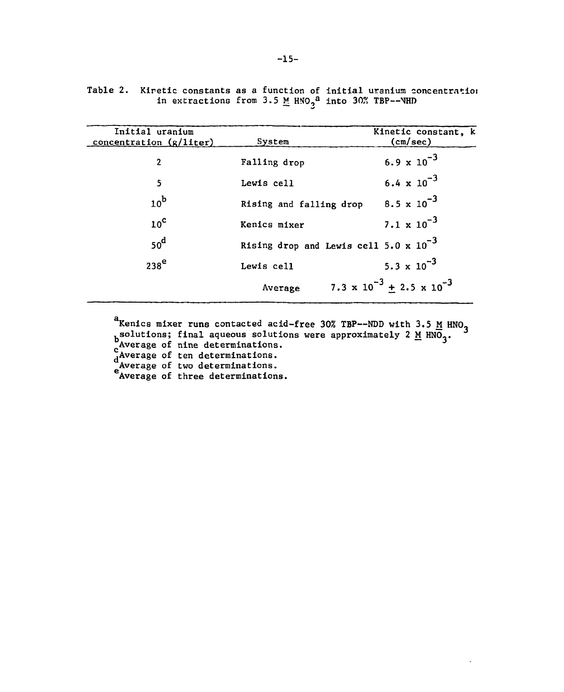| Initial uranium<br>concentration (g/liter) | System                                                   | Kinetic constant, k<br>(cm/sec)             |
|--------------------------------------------|----------------------------------------------------------|---------------------------------------------|
| $\overline{2}$                             | Falling drop                                             | $6.9 \times 10^{-3}$                        |
| 5                                          | Lewis cell                                               | 6.4 $\times 10^{-3}$                        |
| $10^{\rm b}$                               | Rising and falling drop                                  | $8.5 \times 10^{-3}$                        |
| 10 <sup>c</sup>                            | Kenics mixer                                             | $7.1 \times 10^{-3}$                        |
| $50^d$                                     | Rising drop and Lewis cell 5.0 $\times$ 10 <sup>-3</sup> |                                             |
| $238^{\mathrm{e}}$                         | Lewis cell                                               | 5.3 $\times$ 10 <sup>-3</sup>               |
|                                            | Average                                                  | 7.3 $\times 10^{-3}$ + 2.5 $\times 10^{-3}$ |
|                                            |                                                          |                                             |

**Table 2. Kiretic constants as a function of initial uranium concentratioj in extractions from 3.5 M M0 <sup>o</sup> <sup>a</sup> into 30% TBP—\HD** 

**Kenics mixer runs contacted acid-free 30% TBP—NDD with 3.5 M HN0~**  <sub>h</sub>solutions; final aqueous solutions were approximately 2 <u>M</u> HNO<sub>2</sub>. **<sup>c</sup>Average of nine determinations. ^Average of ten determinations. Average of two determinations. Average of three determinations.**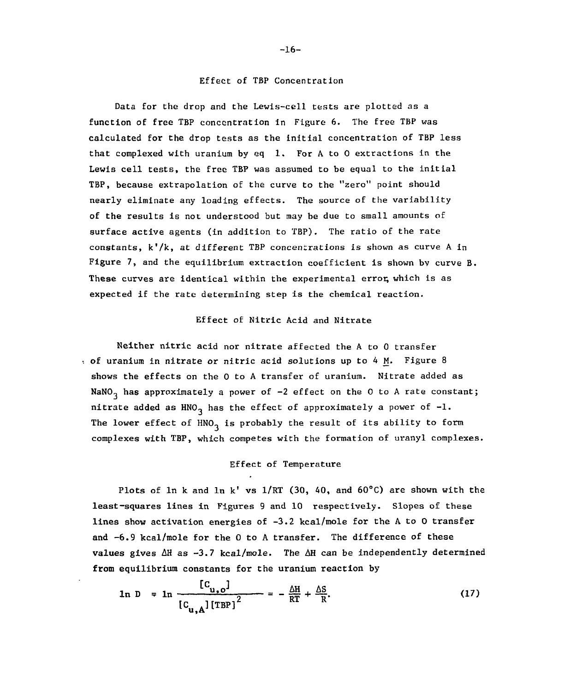#### **Effect of TBP Concentration**

**Data for the drop and the Lewis-cell tests are plotted as a function of free TBP concentration in Figure 6. The free TBP was calculated for the drop tests as the initial concentration of TBP less that complexed with uranium by eq 1. For A to 0 extractions in the Lewis cell tests, the free TBP was assumed to be equal to the initial TBP, because extrapolation of the curve to the "zero" point should nearly eliminate any loading effects. The source of the variability of the results is not understood but may be due to small amounts of surface active agents (in addition to TBP). The ratio of the rate**  constants, k<sup>'</sup>/k, at different TBP concentrations is shown as curve A in **Figure 7, and the equilibrium extraction coefficient is shown bv curve B.**  These curves are identical within the experimental error, which is as **expected if the rate determining step is the chemical reaction.** 

# **Effect of Nitric Acid and Nitrate**

**Neither nitric acid nor nitrate affected the A to 0 transfer of uranium in nitrate or nitric acid solutions up to 4 M. Figure 8 shows the effects on the 0 to A transfer of uranium. Nitrate added as**  NaNO<sub>3</sub> has approximately a power of -2 effect on the 0 to A rate constant; **nitrate added as HNO<sub>3</sub> has the effect of approximately a power of**  $-1$ **.** The lower effect of HNO<sub>2</sub> is probably the result of its ability to form **complexes with TBP, which competes with the formation of uranyl complexes.** 

# **Effect of Temperature**

Plots of  $\ln k$  and  $\ln k'$  vs  $1/RT$  (30, 40, and 60°C) are shown with the **least-squares lines in Figures 9 and 10 respectively. Slopes of these lines show activation energies of -3.2 kcal/mole for the A to 0 transfer and -6.9 kcal/mole for the 0 to A transfer. The difference of these values gives AH as -3.7 kcal/mole. The AH can be independently determined from equilibrium constants for the uranium reaction by** 

$$
\ln D = \ln \frac{[C_{u,o}]}{[C_{u,A}][TBP]^2} = -\frac{\Delta H}{RT} + \frac{\Delta S}{R}.
$$
 (17)

#### -16-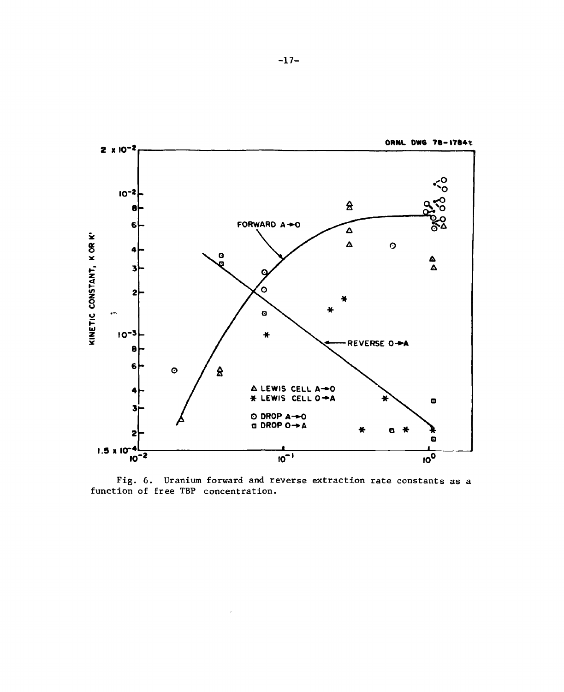

**Fig. 6. Uranium forward and reverse extraction rate constants as a function of free TBP concentration.**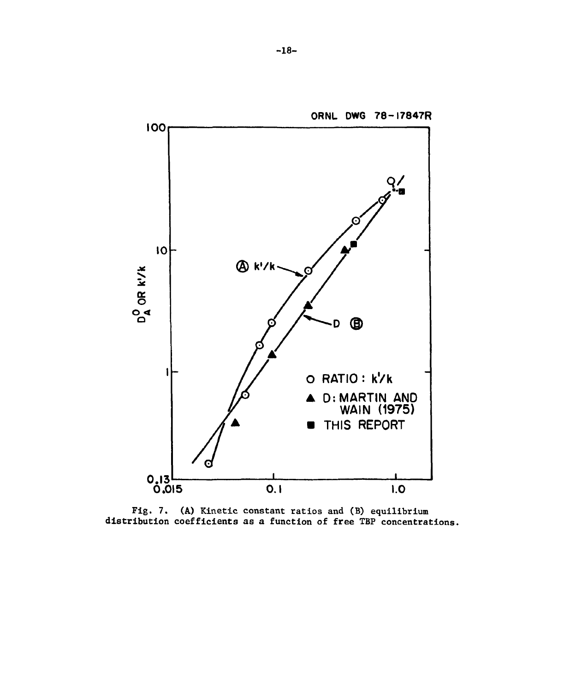

Fig. 7. (A) Kinetic constant ratios and (B) equilibrium distribution coefficients as a function of free TBP concentrations.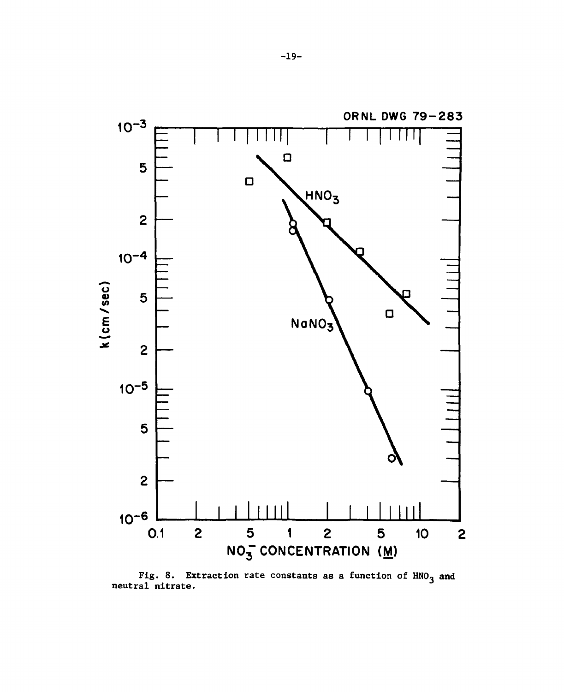

Extraction rate constants as a function of  $HNO<sub>3</sub>$  and Fig. 8. Ex<br>neutral nitrate.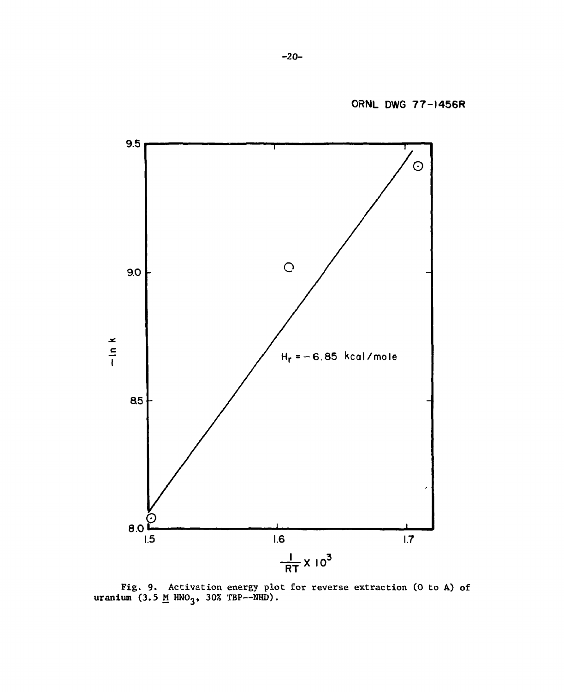

**Pig.** 9. **Activation energy plot for reverse extraction** (0 **to** A) of uranium (3.5 <u>M</u> HNO<sub>3</sub>, 30% TBP--NHD).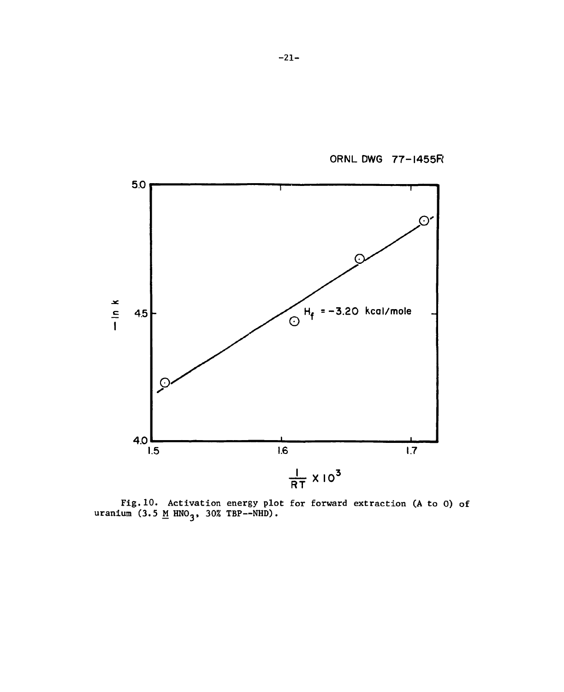ORNL DWG 77-1455R



**Fig.10. Activation energy plot for forward extraction (A to 0) of uranium (3.5 M HNO,, 30% TBP—NHD).**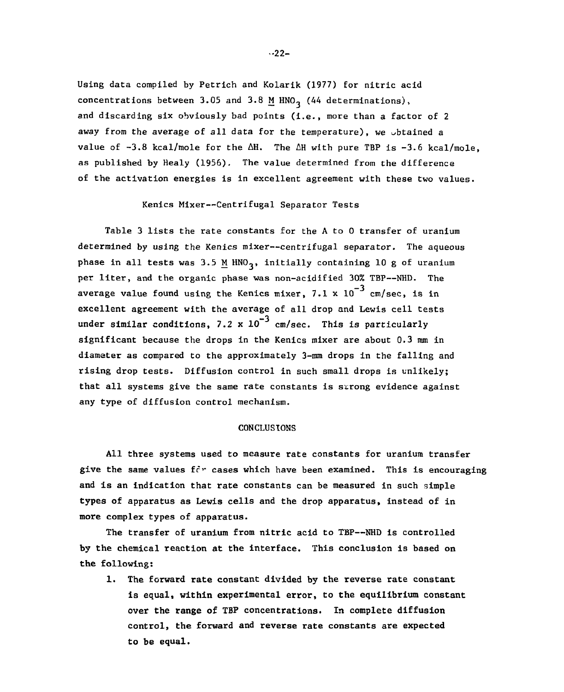**Using data compiled by Petrich and Kolarik (1977) for nitric acid**  concentrations between 3.05 and 3.8 M HNO<sub>3</sub> (44 determinations), **and discarding six obviously bad points (i.e., more than a factor of 2 away from the average of all data for the temperature), we obtained a value of -3.8 kcal/mole for the AH. The AH with pure TBP is -3.6 kcal/mole, as published by Healy (1956), The value determined from the difference of the activation energies is in excellent agreement with these two values.** 

#### **Kenics Mixer—Centrifugal Separator Tests**

**Table 3 lists the rate constants for the A to 0 transfer of uranium determined by using the Kenics mixer—centrifugal separator. The aqueous**  phase in all tests was 3.5 M HNO<sub>3</sub>, initially containing 10 g of uranium **per liter, and the organic phase was non-acidified 30% TBP—NHD. The**  average value found using the Kenics mixer,  $7.1 \times 10^{-3}$  cm/sec, is in excellent agreement with the average of all drop and Lewis cell tests under similar conditions,  $7.2 \times 10^{-3}$  cm/sec. This is particularly significant because the drops in the Kenics mixer are about 0.3 mm in diameter as compared to the approximately 3-mm drops in the falling and rising drop tests. Diffusion control in such small drops is unlikely; that all systems give the same rate constants is surong evidence against any type of diffusion control mechanism.

### **CONCLUSIONS**

**All three systems used to measure rate constants for uranium transfer**  give the same values for cases which have been examined. This is encouraging **and is an indication that rate constants can be measured in such simple types of apparatus as Lewis cells and the drop apparatus, instead of in more complex types of apparatus.** 

**The transfer of uranium from nitric acid to TBP—NHD is controlled by the chemical reaction at the interface. This conclusion is based on the following:** 

**1. The forward rate constant divided by the reverse rate constant is equal, within experimental error, to the equilibrium constant over the range of TBP concentrations. In complete diffusion control, the forward and reverse rate constants are expected to be equal.** 

 $-22-$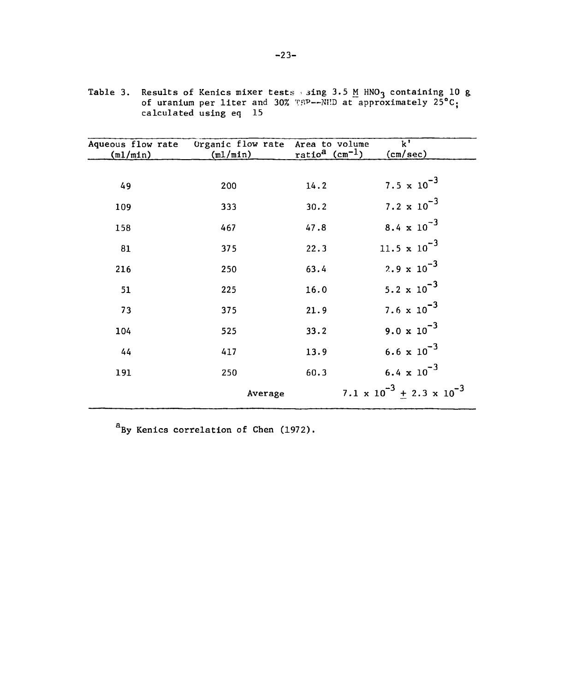| Aqueous flow rate<br>(m1/min) | Organic flow rate<br>(m1/min) | Area to volume<br>ratio <sup>a</sup> (cm <sup>-1</sup> ) | $\overline{\mathbf{k}^{\mathsf{T}}}$<br>(cm/sec) |
|-------------------------------|-------------------------------|----------------------------------------------------------|--------------------------------------------------|
|                               |                               |                                                          |                                                  |
| 49                            | 200                           | 14.2                                                     | 7.5 $\times$ 10 <sup>-3</sup>                    |
| 109                           | 333                           | 30.2                                                     | 7.2 $\times 10^{-3}$                             |
| 158                           | 467                           | 47.8                                                     | 8.4 $\times 10^{-3}$                             |
| 81                            | 375                           | 22.3                                                     | 11.5 $\times 10^{-3}$                            |
| 216                           | 250                           | 63.4                                                     | 2.9 $\times 10^{-3}$                             |
| 51                            | 225                           | 16.0                                                     | 5.2 $\times$ 10 <sup>-3</sup>                    |
| 73                            | 375                           | 21.9                                                     | 7.6 $\times 10^{-3}$                             |
| 104                           | 525                           | 33.2                                                     | $9.0 \times 10^{-3}$                             |
| 44                            | 417                           | 13.9                                                     | 6.6 $\times 10^{-3}$                             |
| 191                           | 250                           | 60.3                                                     | 6.4 $\times 10^{-3}$                             |
|                               | Average                       |                                                          | 7.1 x $10^{-3}$ $\pm$ 2.3 x $10^{-3}$            |

**Table 3. Results of Kenics mixer tests . jing 3.5 M HNO3 containing 10 g of uranium per liter and 30% TH?—Ni'.D at approximately 25°C; calculated using eq 15** 

**<sup>a</sup>By Kenics correlation of Chen (1972).**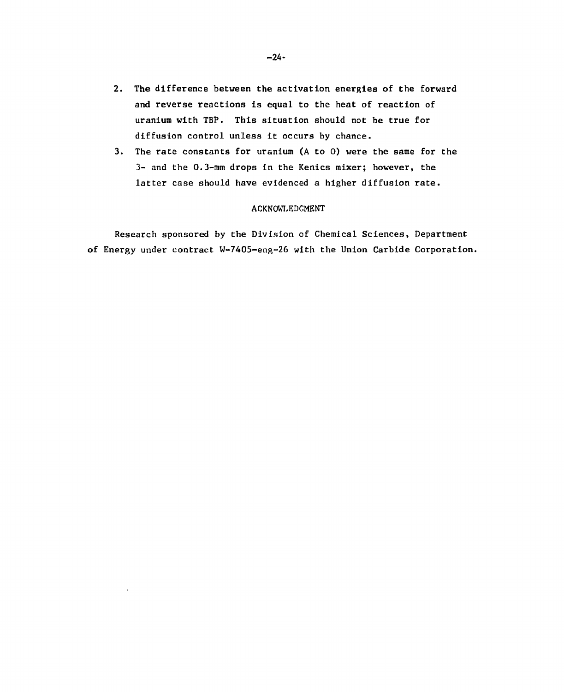- **2. The difference between the activation energies of the forward and reverse reactions is equal to the heat of reaction of uranium with TBP. This situation should not be true for diffusion control unless it occurs by chance.**
- **3. The rate constants for uranium (A to 0) were the same for the 3- and the 0.3-mm drops in the Kenics mixer; however, the latter case should have evidenced a higher diffusion rate.**

## **ACKNOWLEDGMENT**

**Research sponsored by the Division of Chemical Sciences, Department of Energy under contract W-7405-eng~26 with the Union Carbide Corporation.**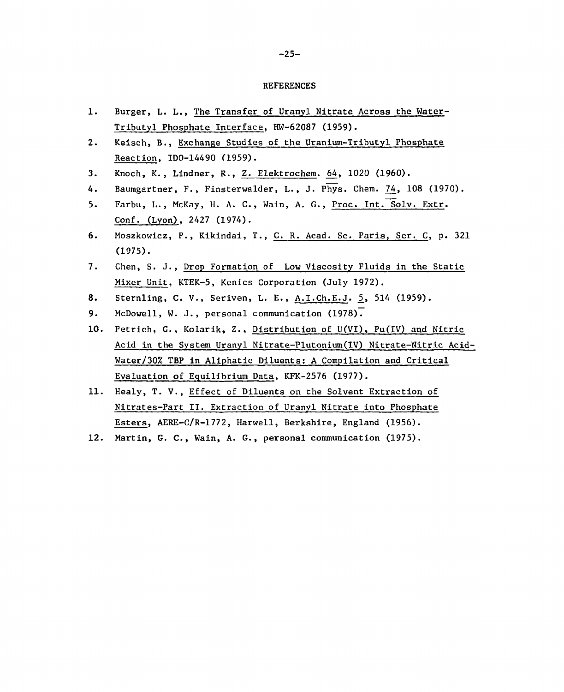#### REFERENCES

- **1. Burger, L. L., The Transfer of Uranyl Nitrate Across the Water-Tributyl Phosphate Interface, HW-62087 (1959).**
- **2. Keisch, B., Exchange Studies of the Uranium-Tributyl Phosphate Reaction, ID0-14490 (1959).**
- **3. Knoch, K., Lindner, R., Z. Elektrochem. 64, 1020 (1960).**
- **4. Baumgartner, F., Finsterwalder, L., J. Phys. Chem. 74, 108 (1970).**
- 5. Farbu, L., McKay, H. A. C., Wain, A. G., Proc. Int. Solv. Extr. **Conf. (Lyon), 2427 (1974).**
- **6. Moszkowicz, P., Kikindai, T., C. R. Acad. Sc. Paris, Ser. C, p. 321 (1975).**
- **7. Chen, S. J., Drop Formation of Low Viscosity Fluids in the Static Mixer Unit, KTEK-5, Kenics Corporation (July 1972).**
- **8. Sternling, C. V., Seriven, L. E., A.I.Ch.E.J. 5.» 514 (1959).**
- **9. McDowell, W. J., personal communication (1978).**
- **10. Petric.h, G. , Kolarik, Z., Distribution of U(VI), Pu(IV) and Nitric Acid in the System Uranyl Nitrate-Plutonium(IV) Nitrate-Nitric Acid-Water/30% TBP in Aliphatic Diluents: A Compilation and Critical Evaluation of Equilibrium Data, KFK-2576 (1977).**
- **11. Healy, T. V., Effect of Diluents on the Solvent Extraction of Nitrates-Part II. Extraction of Uranyl Nitrate into Phosphate Esters, AERE-C/R-1772, Harwell, Berkshire, England (1956).**
- **12. Martin, G. C., Wain, A. G., personal communication (1975).**